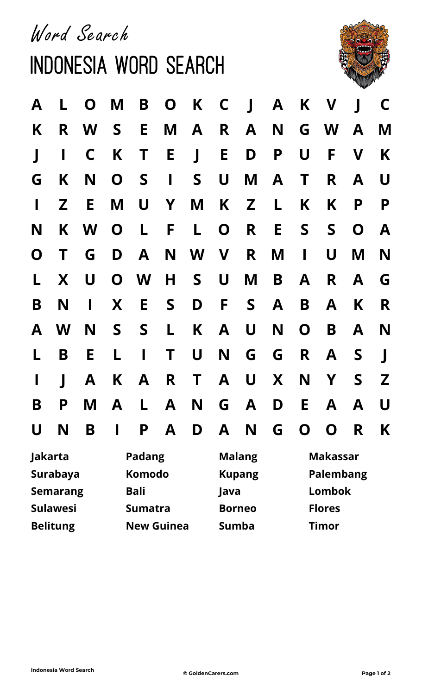Word Search

## Indonesia Word Search



| $\mathsf{A}$ | $\mathsf{L}$    |              |                   |                 |   | O M B O K C J A         |               |       |       |                              | K V J   |     | $\mathsf{C}$ |  |
|--------------|-----------------|--------------|-------------------|-----------------|---|-------------------------|---------------|-------|-------|------------------------------|---------|-----|--------------|--|
| K            |                 |              |                   | R W S E         |   | M A R A                 |               |       |       |                              | N G W A |     | M            |  |
| $\mathbf{J}$ | $\mathbf{I}$    | $\mathsf{C}$ |                   |                 |   | K T E J E D P U F V     |               |       |       |                              |         |     | K            |  |
| G            | K               |              |                   |                 |   | NOSISU                  |               |       | M A T |                              |         | R A | $\bigcup$    |  |
| $\mathbf{I}$ | $\mathsf{Z}$    | $E_{\perp}$  |                   |                 |   | MUYMKZL                 |               |       |       | K                            |         | K P | P            |  |
| N            |                 |              |                   |                 |   | K W O L F L O R E S S O |               |       |       |                              |         |     | $\mathbf{A}$ |  |
|              |                 |              |                   |                 |   | O T G D A N W V R       |               |       |       | $M$ $\overline{\phantom{1}}$ | U       | M   | N            |  |
|              |                 |              |                   |                 |   | L X U O W H S U M       |               |       |       | B A                          |         | R A | G            |  |
|              | B N             |              |                   |                 |   | I X E S D F S A         |               |       |       | <b>B</b>                     |         | A K | R            |  |
|              | A W             | N            |                   | S S             |   | L K A U                 |               |       |       |                              | N O B A |     | N            |  |
| L.           | <b>B</b>        | $E_{\perp}$  | L                 | <b>Contract</b> |   | T U N G G               |               |       |       | $\mathsf{R}$                 |         | A S | $\mathbf{J}$ |  |
| $\mathbf{I}$ | $\mathbf{J}$    | $\mathsf{A}$ |                   | K A             |   | R T A U X N Y           |               |       |       |                              |         | S   | Z            |  |
| B            | D<br>Г          |              |                   |                 |   | MALANGADEAA             |               |       |       |                              |         |     | $\bigcup$    |  |
| U            | N               | B            |                   | P               | A | D                       | A             | N     | G.    | O                            | O       | R.  | K            |  |
|              | Jakarta         |              |                   | <b>Padang</b>   |   |                         | <b>Malang</b> |       |       | <b>Makassar</b>              |         |     |              |  |
|              | Surabaya        |              | Komodo            |                 |   |                         | <b>Kupang</b> |       |       | <b>Palembang</b>             |         |     |              |  |
|              | <b>Semarang</b> |              | <b>Bali</b>       |                 |   |                         | Java          |       |       | <b>Lombok</b>                |         |     |              |  |
|              | <b>Sulawesi</b> |              | <b>Sumatra</b>    |                 |   |                         | <b>Borneo</b> |       |       | <b>Flores</b>                |         |     |              |  |
|              | <b>Belitung</b> |              | <b>New Guinea</b> |                 |   |                         |               | Sumba |       | Timor                        |         |     |              |  |